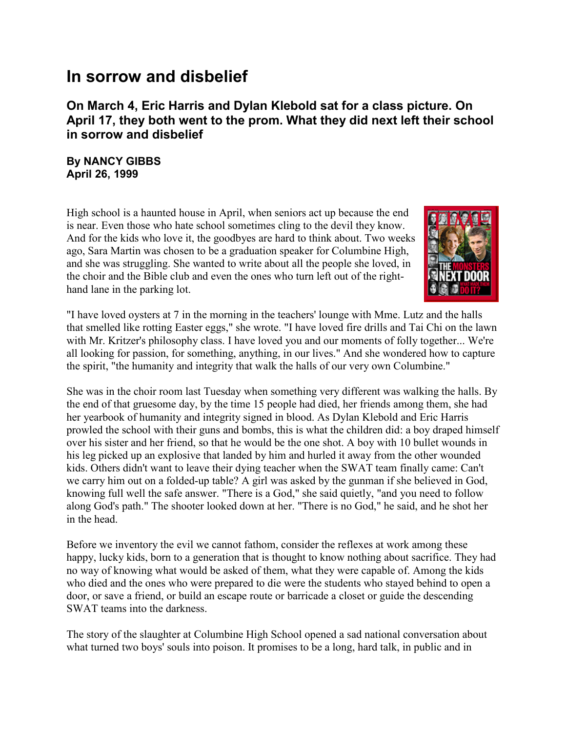## **In sorrow and disbelief**

**On March 4, Eric Harris and Dylan Klebold sat for a class picture. On April 17, they both went to the prom. What they did next left their school in sorrow and disbelief** 

## **By NANCY GIBBS April 26, 1999**

High school is a haunted house in April, when seniors act up because the end is near. Even those who hate school sometimes cling to the devil they know. And for the kids who love it, the goodbyes are hard to think about. Two weeks ago, Sara Martin was chosen to be a graduation speaker for Columbine High, and she was struggling. She wanted to write about all the people she loved, in the choir and the Bible club and even the ones who turn left out of the righthand lane in the parking lot.



"I have loved oysters at 7 in the morning in the teachers' lounge with Mme. Lutz and the halls that smelled like rotting Easter eggs," she wrote. "I have loved fire drills and Tai Chi on the lawn with Mr. Kritzer's philosophy class. I have loved you and our moments of folly together... We're all looking for passion, for something, anything, in our lives." And she wondered how to capture the spirit, "the humanity and integrity that walk the halls of our very own Columbine."

She was in the choir room last Tuesday when something very different was walking the halls. By the end of that gruesome day, by the time 15 people had died, her friends among them, she had her yearbook of humanity and integrity signed in blood. As Dylan Klebold and Eric Harris prowled the school with their guns and bombs, this is what the children did: a boy draped himself over his sister and her friend, so that he would be the one shot. A boy with 10 bullet wounds in his leg picked up an explosive that landed by him and hurled it away from the other wounded kids. Others didn't want to leave their dying teacher when the SWAT team finally came: Can't we carry him out on a folded-up table? A girl was asked by the gunman if she believed in God, knowing full well the safe answer. "There is a God," she said quietly, "and you need to follow along God's path." The shooter looked down at her. "There is no God," he said, and he shot her in the head.

Before we inventory the evil we cannot fathom, consider the reflexes at work among these happy, lucky kids, born to a generation that is thought to know nothing about sacrifice. They had no way of knowing what would be asked of them, what they were capable of. Among the kids who died and the ones who were prepared to die were the students who stayed behind to open a door, or save a friend, or build an escape route or barricade a closet or guide the descending SWAT teams into the darkness.

The story of the slaughter at Columbine High School opened a sad national conversation about what turned two boys' souls into poison. It promises to be a long, hard talk, in public and in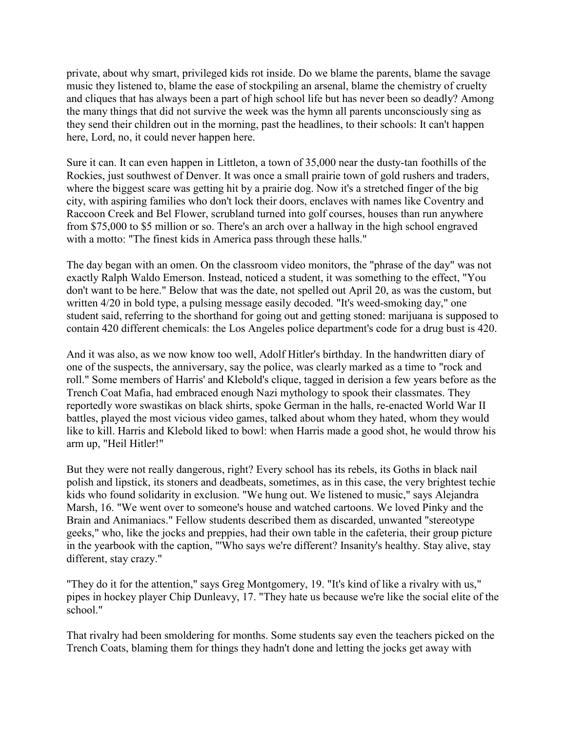private, about why smart, privileged kids rot inside. Do we blame the parents, blame the savage music they listened to, blame the ease of stockpiling an arsenal, blame the chemistry of cruelty and cliques that has always been a part of high school life but has never been so deadly? Among the many things that did not survive the week was the hymn all parents unconsciously sing as they send their children out in the morning, past the headlines, to their schools: It can't happen here, Lord, no, it could never happen here.

Sure it can. It can even happen in Littleton, a town of 35,000 near the dusty-tan foothills of the Rockies, just southwest of Denver. It was once a small prairie town of gold rushers and traders, where the biggest scare was getting hit by a prairie dog. Now it's a stretched finger of the big city, with aspiring families who don't lock their doors, enclaves with names like Coventry and Raccoon Creek and Bel Flower, scrubland turned into golf courses, houses than run anywhere from \$75,000 to \$5 million or so. There's an arch over a hallway in the high school engraved with a motto: "The finest kids in America pass through these halls."

The day began with an omen. On the classroom video monitors, the "phrase of the day" was not exactly Ralph Waldo Emerson. Instead, noticed a student, it was something to the effect, "You don't want to be here." Below that was the date, not spelled out April 20, as was the custom, but written 4/20 in bold type, a pulsing message easily decoded. "It's weed-smoking day," one student said, referring to the shorthand for going out and getting stoned: marijuana is supposed to contain 420 different chemicals: the Los Angeles police department's code for a drug bust is 420.

And it was also, as we now know too well, Adolf Hitler's birthday. In the handwritten diary of one of the suspects, the anniversary, say the police, was clearly marked as a time to "rock and roll." Some members of Harris' and Klebold's clique, tagged in derision a few years before as the Trench Coat Mafia, had embraced enough Nazi mythology to spook their classmates. They reportedly wore swastikas on black shirts, spoke German in the halls, re-enacted World War II battles, played the most vicious video games, talked about whom they hated, whom they would like to kill. Harris and Klebold liked to bowl: when Harris made a good shot, he would throw his arm up, "Heil Hitler!"

But they were not really dangerous, right? Every school has its rebels, its Goths in black nail polish and lipstick, its stoners and deadbeats, sometimes, as in this case, the very brightest techie kids who found solidarity in exclusion. "We hung out. We listened to music," says Alejandra Marsh, 16. "We went over to someone's house and watched cartoons. We loved Pinky and the Brain and Animaniacs." Fellow students described them as discarded, unwanted "stereotype geeks," who, like the jocks and preppies, had their own table in the cafeteria, their group picture in the yearbook with the caption, "'Who says we're different? Insanity's healthy. Stay alive, stay different, stay crazy."

"They do it for the attention," says Greg Montgomery, 19. "It's kind of like a rivalry with us," pipes in hockey player Chip Dunleavy, 17. "They hate us because we're like the social elite of the school."

That rivalry had been smoldering for months. Some students say even the teachers picked on the Trench Coats, blaming them for things they hadn't done and letting the jocks get away with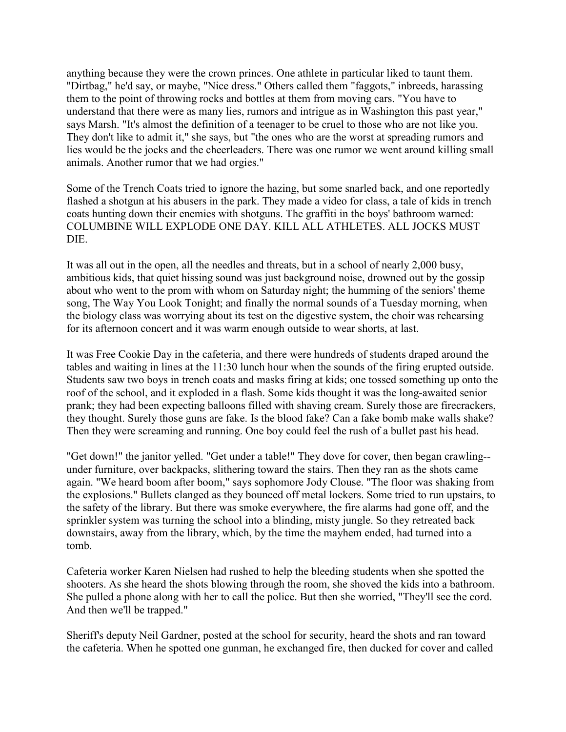anything because they were the crown princes. One athlete in particular liked to taunt them. "Dirtbag," he'd say, or maybe, "Nice dress." Others called them "faggots," inbreeds, harassing them to the point of throwing rocks and bottles at them from moving cars. "You have to understand that there were as many lies, rumors and intrigue as in Washington this past year," says Marsh. "It's almost the definition of a teenager to be cruel to those who are not like you. They don't like to admit it," she says, but "the ones who are the worst at spreading rumors and lies would be the jocks and the cheerleaders. There was one rumor we went around killing small animals. Another rumor that we had orgies."

Some of the Trench Coats tried to ignore the hazing, but some snarled back, and one reportedly flashed a shotgun at his abusers in the park. They made a video for class, a tale of kids in trench coats hunting down their enemies with shotguns. The graffiti in the boys' bathroom warned: COLUMBINE WILL EXPLODE ONE DAY. KILL ALL ATHLETES. ALL JOCKS MUST DIE.

It was all out in the open, all the needles and threats, but in a school of nearly 2,000 busy, ambitious kids, that quiet hissing sound was just background noise, drowned out by the gossip about who went to the prom with whom on Saturday night; the humming of the seniors' theme song, The Way You Look Tonight; and finally the normal sounds of a Tuesday morning, when the biology class was worrying about its test on the digestive system, the choir was rehearsing for its afternoon concert and it was warm enough outside to wear shorts, at last.

It was Free Cookie Day in the cafeteria, and there were hundreds of students draped around the tables and waiting in lines at the 11:30 lunch hour when the sounds of the firing erupted outside. Students saw two boys in trench coats and masks firing at kids; one tossed something up onto the roof of the school, and it exploded in a flash. Some kids thought it was the long-awaited senior prank; they had been expecting balloons filled with shaving cream. Surely those are firecrackers, they thought. Surely those guns are fake. Is the blood fake? Can a fake bomb make walls shake? Then they were screaming and running. One boy could feel the rush of a bullet past his head.

"Get down!" the janitor yelled. "Get under a table!" They dove for cover, then began crawling- under furniture, over backpacks, slithering toward the stairs. Then they ran as the shots came again. "We heard boom after boom," says sophomore Jody Clouse. "The floor was shaking from the explosions." Bullets clanged as they bounced off metal lockers. Some tried to run upstairs, to the safety of the library. But there was smoke everywhere, the fire alarms had gone off, and the sprinkler system was turning the school into a blinding, misty jungle. So they retreated back downstairs, away from the library, which, by the time the mayhem ended, had turned into a tomb.

Cafeteria worker Karen Nielsen had rushed to help the bleeding students when she spotted the shooters. As she heard the shots blowing through the room, she shoved the kids into a bathroom. She pulled a phone along with her to call the police. But then she worried, "They'll see the cord. And then we'll be trapped."

Sheriff's deputy Neil Gardner, posted at the school for security, heard the shots and ran toward the cafeteria. When he spotted one gunman, he exchanged fire, then ducked for cover and called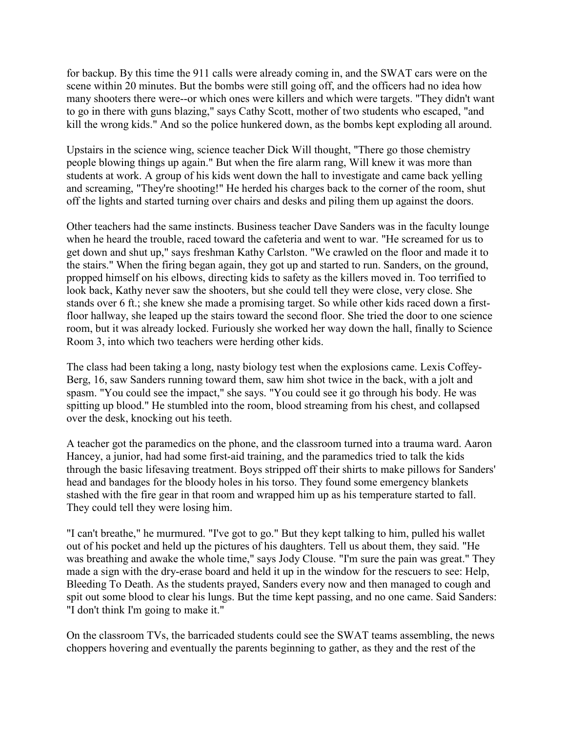for backup. By this time the 911 calls were already coming in, and the SWAT cars were on the scene within 20 minutes. But the bombs were still going off, and the officers had no idea how many shooters there were--or which ones were killers and which were targets. "They didn't want to go in there with guns blazing," says Cathy Scott, mother of two students who escaped, "and kill the wrong kids." And so the police hunkered down, as the bombs kept exploding all around.

Upstairs in the science wing, science teacher Dick Will thought, "There go those chemistry people blowing things up again." But when the fire alarm rang, Will knew it was more than students at work. A group of his kids went down the hall to investigate and came back yelling and screaming, "They're shooting!" He herded his charges back to the corner of the room, shut off the lights and started turning over chairs and desks and piling them up against the doors.

Other teachers had the same instincts. Business teacher Dave Sanders was in the faculty lounge when he heard the trouble, raced toward the cafeteria and went to war. "He screamed for us to get down and shut up," says freshman Kathy Carlston. "We crawled on the floor and made it to the stairs." When the firing began again, they got up and started to run. Sanders, on the ground, propped himself on his elbows, directing kids to safety as the killers moved in. Too terrified to look back, Kathy never saw the shooters, but she could tell they were close, very close. She stands over 6 ft.; she knew she made a promising target. So while other kids raced down a firstfloor hallway, she leaped up the stairs toward the second floor. She tried the door to one science room, but it was already locked. Furiously she worked her way down the hall, finally to Science Room 3, into which two teachers were herding other kids.

The class had been taking a long, nasty biology test when the explosions came. Lexis Coffey-Berg, 16, saw Sanders running toward them, saw him shot twice in the back, with a jolt and spasm. "You could see the impact," she says. "You could see it go through his body. He was spitting up blood." He stumbled into the room, blood streaming from his chest, and collapsed over the desk, knocking out his teeth.

A teacher got the paramedics on the phone, and the classroom turned into a trauma ward. Aaron Hancey, a junior, had had some first-aid training, and the paramedics tried to talk the kids through the basic lifesaving treatment. Boys stripped off their shirts to make pillows for Sanders' head and bandages for the bloody holes in his torso. They found some emergency blankets stashed with the fire gear in that room and wrapped him up as his temperature started to fall. They could tell they were losing him.

"I can't breathe," he murmured. "I've got to go." But they kept talking to him, pulled his wallet out of his pocket and held up the pictures of his daughters. Tell us about them, they said. "He was breathing and awake the whole time," says Jody Clouse. "I'm sure the pain was great." They made a sign with the dry-erase board and held it up in the window for the rescuers to see: Help, Bleeding To Death. As the students prayed, Sanders every now and then managed to cough and spit out some blood to clear his lungs. But the time kept passing, and no one came. Said Sanders: "I don't think I'm going to make it."

On the classroom TVs, the barricaded students could see the SWAT teams assembling, the news choppers hovering and eventually the parents beginning to gather, as they and the rest of the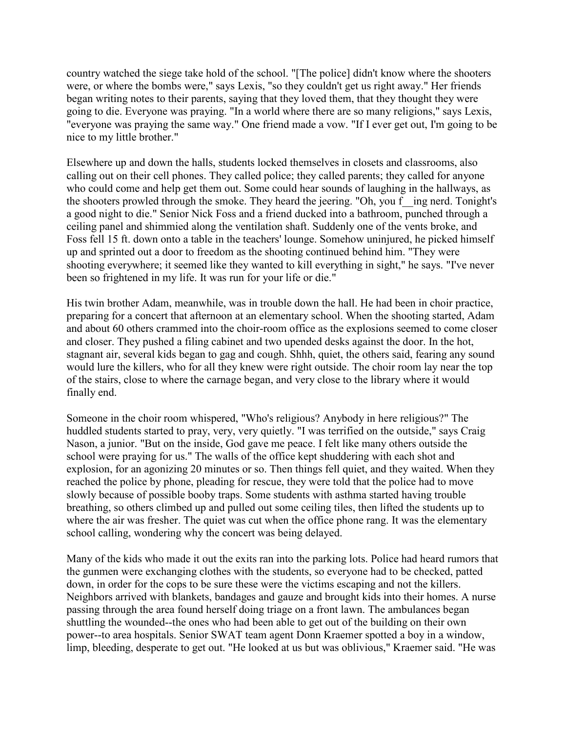country watched the siege take hold of the school. "[The police] didn't know where the shooters were, or where the bombs were," says Lexis, "so they couldn't get us right away." Her friends began writing notes to their parents, saying that they loved them, that they thought they were going to die. Everyone was praying. "In a world where there are so many religions," says Lexis, "everyone was praying the same way." One friend made a vow. "If I ever get out, I'm going to be nice to my little brother."

Elsewhere up and down the halls, students locked themselves in closets and classrooms, also calling out on their cell phones. They called police; they called parents; they called for anyone who could come and help get them out. Some could hear sounds of laughing in the hallways, as the shooters prowled through the smoke. They heard the jeering. "Oh, you f\_ing nerd. Tonight's a good night to die." Senior Nick Foss and a friend ducked into a bathroom, punched through a ceiling panel and shimmied along the ventilation shaft. Suddenly one of the vents broke, and Foss fell 15 ft. down onto a table in the teachers' lounge. Somehow uninjured, he picked himself up and sprinted out a door to freedom as the shooting continued behind him. "They were shooting everywhere; it seemed like they wanted to kill everything in sight," he says. "I've never been so frightened in my life. It was run for your life or die."

His twin brother Adam, meanwhile, was in trouble down the hall. He had been in choir practice, preparing for a concert that afternoon at an elementary school. When the shooting started, Adam and about 60 others crammed into the choir-room office as the explosions seemed to come closer and closer. They pushed a filing cabinet and two upended desks against the door. In the hot, stagnant air, several kids began to gag and cough. Shhh, quiet, the others said, fearing any sound would lure the killers, who for all they knew were right outside. The choir room lay near the top of the stairs, close to where the carnage began, and very close to the library where it would finally end.

Someone in the choir room whispered, "Who's religious? Anybody in here religious?" The huddled students started to pray, very, very quietly. "I was terrified on the outside," says Craig Nason, a junior. "But on the inside, God gave me peace. I felt like many others outside the school were praying for us." The walls of the office kept shuddering with each shot and explosion, for an agonizing 20 minutes or so. Then things fell quiet, and they waited. When they reached the police by phone, pleading for rescue, they were told that the police had to move slowly because of possible booby traps. Some students with asthma started having trouble breathing, so others climbed up and pulled out some ceiling tiles, then lifted the students up to where the air was fresher. The quiet was cut when the office phone rang. It was the elementary school calling, wondering why the concert was being delayed.

Many of the kids who made it out the exits ran into the parking lots. Police had heard rumors that the gunmen were exchanging clothes with the students, so everyone had to be checked, patted down, in order for the cops to be sure these were the victims escaping and not the killers. Neighbors arrived with blankets, bandages and gauze and brought kids into their homes. A nurse passing through the area found herself doing triage on a front lawn. The ambulances began shuttling the wounded--the ones who had been able to get out of the building on their own power--to area hospitals. Senior SWAT team agent Donn Kraemer spotted a boy in a window, limp, bleeding, desperate to get out. "He looked at us but was oblivious," Kraemer said. "He was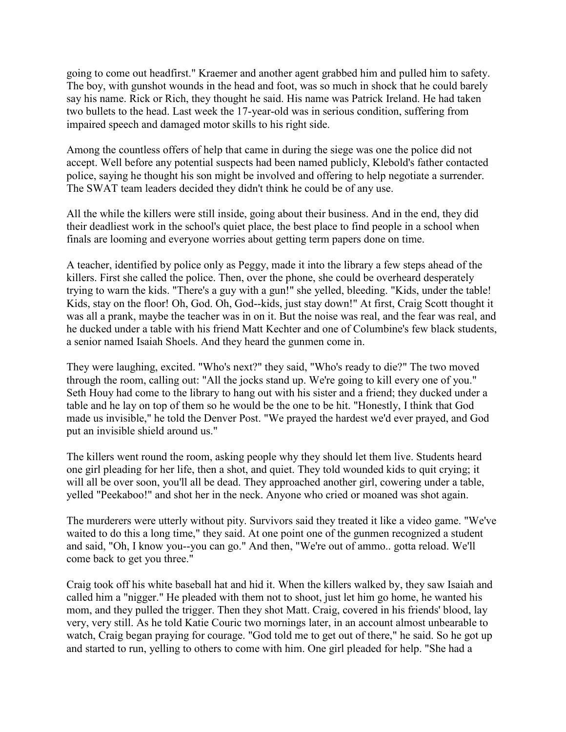going to come out headfirst." Kraemer and another agent grabbed him and pulled him to safety. The boy, with gunshot wounds in the head and foot, was so much in shock that he could barely say his name. Rick or Rich, they thought he said. His name was Patrick Ireland. He had taken two bullets to the head. Last week the 17-year-old was in serious condition, suffering from impaired speech and damaged motor skills to his right side.

Among the countless offers of help that came in during the siege was one the police did not accept. Well before any potential suspects had been named publicly, Klebold's father contacted police, saying he thought his son might be involved and offering to help negotiate a surrender. The SWAT team leaders decided they didn't think he could be of any use.

All the while the killers were still inside, going about their business. And in the end, they did their deadliest work in the school's quiet place, the best place to find people in a school when finals are looming and everyone worries about getting term papers done on time.

A teacher, identified by police only as Peggy, made it into the library a few steps ahead of the killers. First she called the police. Then, over the phone, she could be overheard desperately trying to warn the kids. "There's a guy with a gun!" she yelled, bleeding. "Kids, under the table! Kids, stay on the floor! Oh, God. Oh, God--kids, just stay down!" At first, Craig Scott thought it was all a prank, maybe the teacher was in on it. But the noise was real, and the fear was real, and he ducked under a table with his friend Matt Kechter and one of Columbine's few black students, a senior named Isaiah Shoels. And they heard the gunmen come in.

They were laughing, excited. "Who's next?" they said, "Who's ready to die?" The two moved through the room, calling out: "All the jocks stand up. We're going to kill every one of you." Seth Houy had come to the library to hang out with his sister and a friend; they ducked under a table and he lay on top of them so he would be the one to be hit. "Honestly, I think that God made us invisible," he told the Denver Post. "We prayed the hardest we'd ever prayed, and God put an invisible shield around us."

The killers went round the room, asking people why they should let them live. Students heard one girl pleading for her life, then a shot, and quiet. They told wounded kids to quit crying; it will all be over soon, you'll all be dead. They approached another girl, cowering under a table, yelled "Peekaboo!" and shot her in the neck. Anyone who cried or moaned was shot again.

The murderers were utterly without pity. Survivors said they treated it like a video game. "We've waited to do this a long time," they said. At one point one of the gunmen recognized a student and said, "Oh, I know you--you can go." And then, "We're out of ammo.. gotta reload. We'll come back to get you three."

Craig took off his white baseball hat and hid it. When the killers walked by, they saw Isaiah and called him a "nigger." He pleaded with them not to shoot, just let him go home, he wanted his mom, and they pulled the trigger. Then they shot Matt. Craig, covered in his friends' blood, lay very, very still. As he told Katie Couric two mornings later, in an account almost unbearable to watch, Craig began praying for courage. "God told me to get out of there," he said. So he got up and started to run, yelling to others to come with him. One girl pleaded for help. "She had a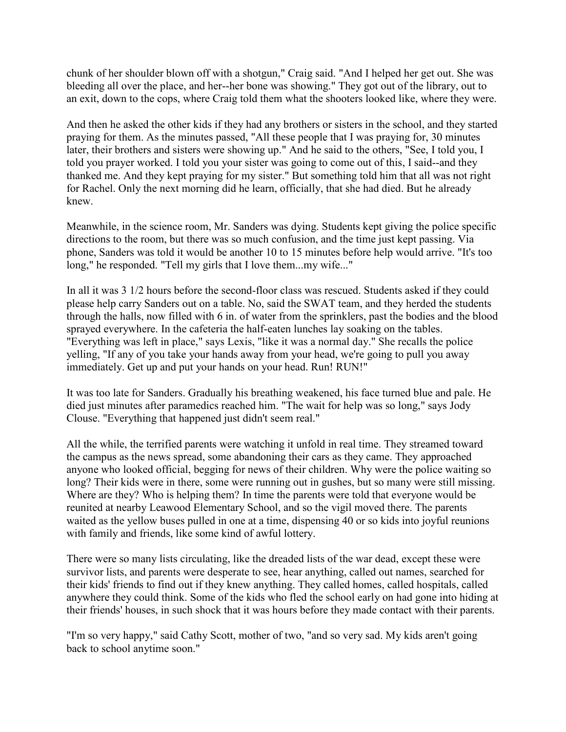chunk of her shoulder blown off with a shotgun," Craig said. "And I helped her get out. She was bleeding all over the place, and her--her bone was showing." They got out of the library, out to an exit, down to the cops, where Craig told them what the shooters looked like, where they were.

And then he asked the other kids if they had any brothers or sisters in the school, and they started praying for them. As the minutes passed, "All these people that I was praying for, 30 minutes later, their brothers and sisters were showing up." And he said to the others, "See, I told you, I told you prayer worked. I told you your sister was going to come out of this, I said--and they thanked me. And they kept praying for my sister." But something told him that all was not right for Rachel. Only the next morning did he learn, officially, that she had died. But he already knew.

Meanwhile, in the science room, Mr. Sanders was dying. Students kept giving the police specific directions to the room, but there was so much confusion, and the time just kept passing. Via phone, Sanders was told it would be another 10 to 15 minutes before help would arrive. "It's too long," he responded. "Tell my girls that I love them...my wife..."

In all it was 3 1/2 hours before the second-floor class was rescued. Students asked if they could please help carry Sanders out on a table. No, said the SWAT team, and they herded the students through the halls, now filled with 6 in. of water from the sprinklers, past the bodies and the blood sprayed everywhere. In the cafeteria the half-eaten lunches lay soaking on the tables. "Everything was left in place," says Lexis, "like it was a normal day." She recalls the police yelling, "If any of you take your hands away from your head, we're going to pull you away immediately. Get up and put your hands on your head. Run! RUN!"

It was too late for Sanders. Gradually his breathing weakened, his face turned blue and pale. He died just minutes after paramedics reached him. "The wait for help was so long," says Jody Clouse. "Everything that happened just didn't seem real."

All the while, the terrified parents were watching it unfold in real time. They streamed toward the campus as the news spread, some abandoning their cars as they came. They approached anyone who looked official, begging for news of their children. Why were the police waiting so long? Their kids were in there, some were running out in gushes, but so many were still missing. Where are they? Who is helping them? In time the parents were told that everyone would be reunited at nearby Leawood Elementary School, and so the vigil moved there. The parents waited as the yellow buses pulled in one at a time, dispensing 40 or so kids into joyful reunions with family and friends, like some kind of awful lottery.

There were so many lists circulating, like the dreaded lists of the war dead, except these were survivor lists, and parents were desperate to see, hear anything, called out names, searched for their kids' friends to find out if they knew anything. They called homes, called hospitals, called anywhere they could think. Some of the kids who fled the school early on had gone into hiding at their friends' houses, in such shock that it was hours before they made contact with their parents.

"I'm so very happy," said Cathy Scott, mother of two, "and so very sad. My kids aren't going back to school anytime soon."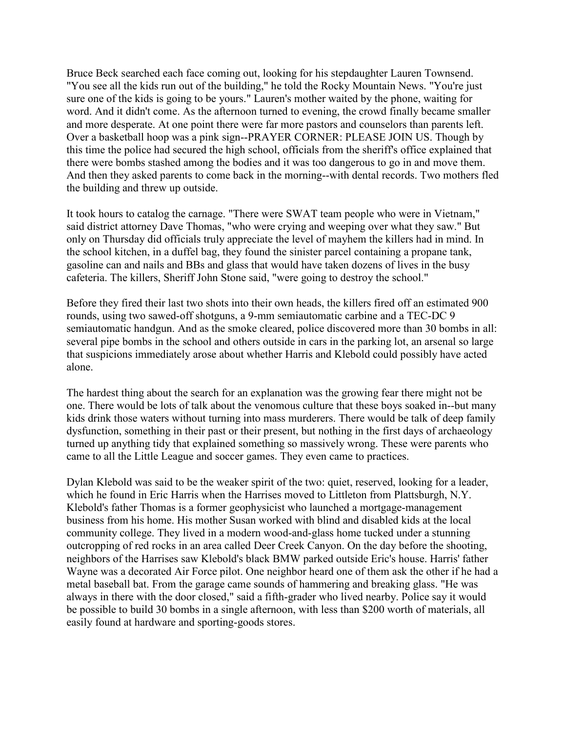Bruce Beck searched each face coming out, looking for his stepdaughter Lauren Townsend. "You see all the kids run out of the building," he told the Rocky Mountain News. "You're just sure one of the kids is going to be yours." Lauren's mother waited by the phone, waiting for word. And it didn't come. As the afternoon turned to evening, the crowd finally became smaller and more desperate. At one point there were far more pastors and counselors than parents left. Over a basketball hoop was a pink sign--PRAYER CORNER: PLEASE JOIN US. Though by this time the police had secured the high school, officials from the sheriff's office explained that there were bombs stashed among the bodies and it was too dangerous to go in and move them. And then they asked parents to come back in the morning--with dental records. Two mothers fled the building and threw up outside.

It took hours to catalog the carnage. "There were SWAT team people who were in Vietnam," said district attorney Dave Thomas, "who were crying and weeping over what they saw." But only on Thursday did officials truly appreciate the level of mayhem the killers had in mind. In the school kitchen, in a duffel bag, they found the sinister parcel containing a propane tank, gasoline can and nails and BBs and glass that would have taken dozens of lives in the busy cafeteria. The killers, Sheriff John Stone said, "were going to destroy the school."

Before they fired their last two shots into their own heads, the killers fired off an estimated 900 rounds, using two sawed-off shotguns, a 9-mm semiautomatic carbine and a TEC-DC 9 semiautomatic handgun. And as the smoke cleared, police discovered more than 30 bombs in all: several pipe bombs in the school and others outside in cars in the parking lot, an arsenal so large that suspicions immediately arose about whether Harris and Klebold could possibly have acted alone.

The hardest thing about the search for an explanation was the growing fear there might not be one. There would be lots of talk about the venomous culture that these boys soaked in--but many kids drink those waters without turning into mass murderers. There would be talk of deep family dysfunction, something in their past or their present, but nothing in the first days of archaeology turned up anything tidy that explained something so massively wrong. These were parents who came to all the Little League and soccer games. They even came to practices.

Dylan Klebold was said to be the weaker spirit of the two: quiet, reserved, looking for a leader, which he found in Eric Harris when the Harrises moved to Littleton from Plattsburgh, N.Y. Klebold's father Thomas is a former geophysicist who launched a mortgage-management business from his home. His mother Susan worked with blind and disabled kids at the local community college. They lived in a modern wood-and-glass home tucked under a stunning outcropping of red rocks in an area called Deer Creek Canyon. On the day before the shooting, neighbors of the Harrises saw Klebold's black BMW parked outside Eric's house. Harris' father Wayne was a decorated Air Force pilot. One neighbor heard one of them ask the other if he had a metal baseball bat. From the garage came sounds of hammering and breaking glass. "He was always in there with the door closed," said a fifth-grader who lived nearby. Police say it would be possible to build 30 bombs in a single afternoon, with less than \$200 worth of materials, all easily found at hardware and sporting-goods stores.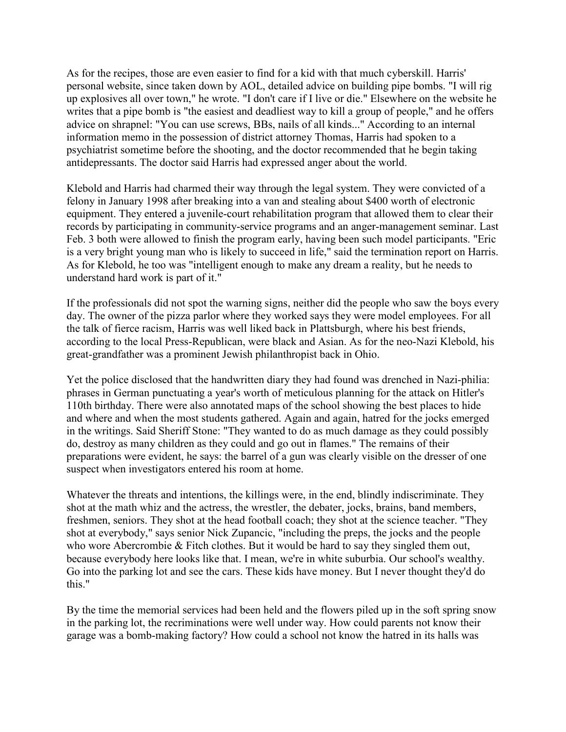As for the recipes, those are even easier to find for a kid with that much cyberskill. Harris' personal website, since taken down by AOL, detailed advice on building pipe bombs. "I will rig up explosives all over town," he wrote. "I don't care if I live or die." Elsewhere on the website he writes that a pipe bomb is "the easiest and deadliest way to kill a group of people," and he offers advice on shrapnel: "You can use screws, BBs, nails of all kinds..." According to an internal information memo in the possession of district attorney Thomas, Harris had spoken to a psychiatrist sometime before the shooting, and the doctor recommended that he begin taking antidepressants. The doctor said Harris had expressed anger about the world.

Klebold and Harris had charmed their way through the legal system. They were convicted of a felony in January 1998 after breaking into a van and stealing about \$400 worth of electronic equipment. They entered a juvenile-court rehabilitation program that allowed them to clear their records by participating in community-service programs and an anger-management seminar. Last Feb. 3 both were allowed to finish the program early, having been such model participants. "Eric is a very bright young man who is likely to succeed in life," said the termination report on Harris. As for Klebold, he too was "intelligent enough to make any dream a reality, but he needs to understand hard work is part of it."

If the professionals did not spot the warning signs, neither did the people who saw the boys every day. The owner of the pizza parlor where they worked says they were model employees. For all the talk of fierce racism, Harris was well liked back in Plattsburgh, where his best friends, according to the local Press-Republican, were black and Asian. As for the neo-Nazi Klebold, his great-grandfather was a prominent Jewish philanthropist back in Ohio.

Yet the police disclosed that the handwritten diary they had found was drenched in Nazi-philia: phrases in German punctuating a year's worth of meticulous planning for the attack on Hitler's 110th birthday. There were also annotated maps of the school showing the best places to hide and where and when the most students gathered. Again and again, hatred for the jocks emerged in the writings. Said Sheriff Stone: "They wanted to do as much damage as they could possibly do, destroy as many children as they could and go out in flames." The remains of their preparations were evident, he says: the barrel of a gun was clearly visible on the dresser of one suspect when investigators entered his room at home.

Whatever the threats and intentions, the killings were, in the end, blindly indiscriminate. They shot at the math whiz and the actress, the wrestler, the debater, jocks, brains, band members, freshmen, seniors. They shot at the head football coach; they shot at the science teacher. "They shot at everybody," says senior Nick Zupancic, "including the preps, the jocks and the people who wore Abercrombie & Fitch clothes. But it would be hard to say they singled them out, because everybody here looks like that. I mean, we're in white suburbia. Our school's wealthy. Go into the parking lot and see the cars. These kids have money. But I never thought they'd do this."

By the time the memorial services had been held and the flowers piled up in the soft spring snow in the parking lot, the recriminations were well under way. How could parents not know their garage was a bomb-making factory? How could a school not know the hatred in its halls was